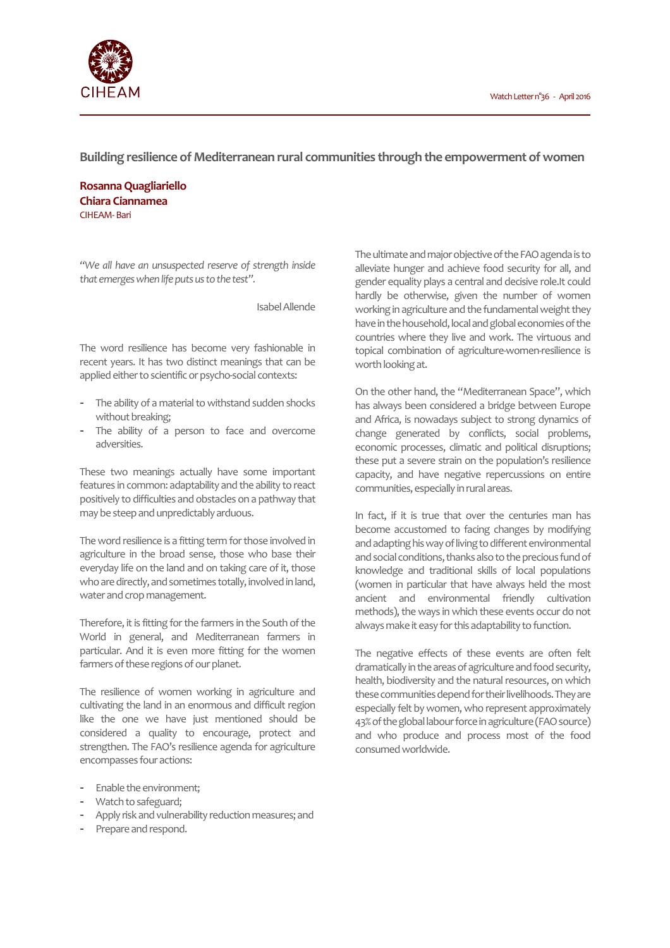

**Building resilience of Mediterranean rural communities through the empowerment of women**

**Rosanna Quagliariello Chiara Ciannamea** CIHEAM-Bari

*"We all have an unsuspected reserve of strength inside that emerges when life puts us to the test".*

Isabel Allende

The word resilience has become very fashionable in recent years. It has two distinct meanings that can be applied either to scientific or psycho-social contexts:

- The ability of a material to withstand sudden shocks without breaking;
- The ability of a person to face and overcome adversities.

These two meanings actually have some important features in common: adaptability and the ability to react positively to difficulties and obstacles on a pathway that may be steep and unpredictably arduous.

The word resilience is a fitting term for those involved in agriculture in the broad sense, those who base their everyday life on the land and on taking care of it, those who are directly, and sometimes totally, involved in land, water and crop management.

Therefore, it is fitting for the farmers in the South of the World in general, and Mediterranean farmers in particular. And it is even more fitting for the women farmers of these regions of our planet.

The resilience of women working in agriculture and cultivating the land in an enormous and difficult region like the one we have just mentioned should be considered a quality to encourage, protect and strengthen. The FAO's resilience agenda for agriculture encompasses four actions:

- Enable the environment;
- Watch to safeguard;
- Apply risk and vulnerability reduction measures; and
- Prepare and respond.

The ultimate and major objective of the FAO agenda is to alleviate hunger and achieve food security for all, and gender equality plays a central and decisive role.It could hardly be otherwise, given the number of women working in agriculture and the fundamental weight they have in the household, local and global economies of the countries where they live and work. The virtuous and topical combination of agriculture-women-resilience is worth looking at.

On the other hand, the "Mediterranean Space", which has always been considered a bridge between Europe and Africa, is nowadays subject to strong dynamics of change generated by conflicts, social problems, economic processes, climatic and political disruptions; these put a severe strain on the population's resilience capacity, and have negative repercussions on entire communities, especially in rural areas.

In fact, if it is true that over the centuries man has become accustomed to facing changes by modifying and adapting his way of living to different environmental and social conditions, thanks also to the precious fund of knowledge and traditional skills of local populations (women in particular that have always held the most ancient and environmental friendly cultivation methods), the ways in which these events occur do not always make it easy for this adaptability to function.

The negative effects of these events are often felt dramatically in the areas of agriculture and food security, health, biodiversity and the natural resources, on which these communities depend for their livelihoods. They are especially felt by women, who represent approximately 43% of the global labour force in agriculture (FAO source) and who produce and process most of the food consumed worldwide.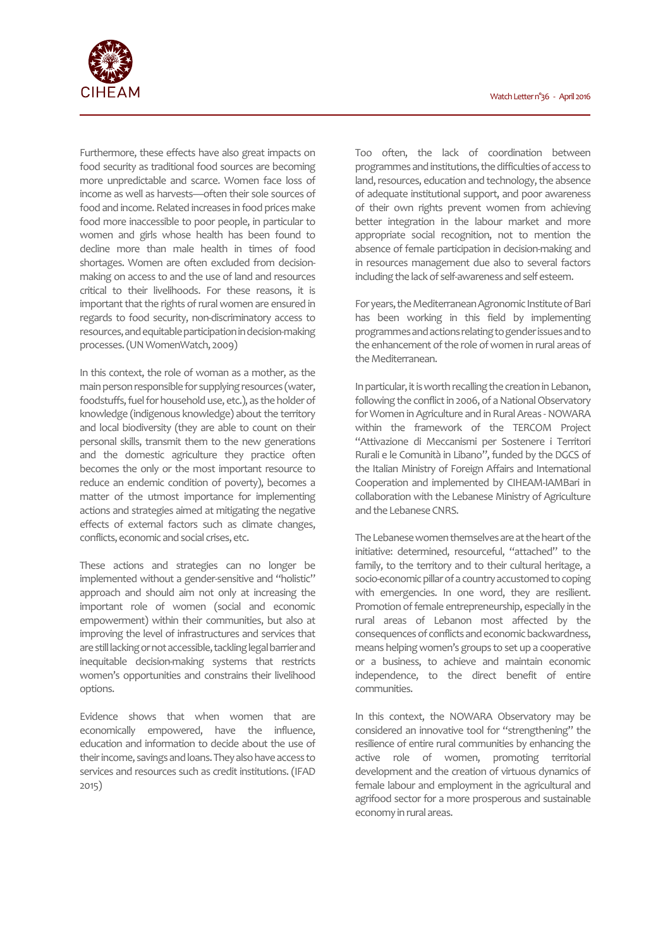

Furthermore, these effects have also great impacts on food security as traditional food sources are becoming more unpredictable and scarce. Women face loss of income as well as harvests—often their sole sources of food and income. Related increases in food prices make food more inaccessible to poor people, in particular to women and girls whose health has been found to decline more than male health in times of food shortages. Women are often excluded from decisionmaking on access to and the use of land and resources critical to their livelihoods. For these reasons, it is important that the rights of rural women are ensured in regards to food security, non-discriminatory access to resources, and equitable participation in decision-making processes. (UN WomenWatch, 2009)

In this context, the role of woman as a mother, as the main person responsible for supplying resources (water, foodstuffs, fuel for household use, etc.), as the holder of knowledge (indigenous knowledge) about the territory and local biodiversity (they are able to count on their personal skills, transmit them to the new generations and the domestic agriculture they practice often becomes the only or the most important resource to reduce an endemic condition of poverty), becomes a matter of the utmost importance for implementing actions and strategies aimed at mitigating the negative effects of external factors such as climate changes, conflicts, economic and social crises, etc.

These actions and strategies can no longer be implemented without a gender-sensitive and "holistic" approach and should aim not only at increasing the important role of women (social and economic empowerment) within their communities, but also at improving the level of infrastructures and services that are still lacking or not accessible, tackling legal barrier and inequitable decision-making systems that restricts women's opportunities and constrains their livelihood options.

Evidence shows that when women that are economically empowered, have the influence, education and information to decide about the use of their income, savings and loans. They also have access to services and resources such as credit institutions. (IFAD 2015)

Too often, the lack of coordination between programmes and institutions, the difficulties of access to land, resources, education and technology, the absence of adequate institutional support, and poor awareness of their own rights prevent women from achieving better integration in the labour market and more appropriate social recognition, not to mention the absence of female participation in decision-making and in resources management due also to several factors including the lack of self-awareness and self esteem.

For years, the Mediterranean Agronomic Institute of Bari has been working in this field by implementing programmes and actions relating to gender issues and to the enhancement of the role of women in rural areas of the Mediterranean.

In particular, it is worth recalling the creation in Lebanon, following the conflict in 2006, of a National Observatory for Women in Agriculture and in Rural Areas -NOWARA within the framework of the TERCOM Project "Attivazione di Meccanismi per Sostenere i Territori Rurali e le Comunità in Libano", funded by the DGCS of the Italian Ministry of Foreign Affairs and International Cooperation and implemented by CIHEAM-IAMBari in collaboration with the Lebanese Ministry of Agriculture and the Lebanese CNRS.

The Lebanese women themselves are at the heart of the initiative: determined, resourceful, "attached" to the family, to the territory and to their cultural heritage, a socio-economic pillar of a country accustomed to coping with emergencies. In one word, they are resilient. Promotion of female entrepreneurship, especially in the rural areas of Lebanon most affected by the consequences of conflicts and economic backwardness, means helping women's groups to set up a cooperative or a business, to achieve and maintain economic independence, to the direct benefit of entire communities.

In this context, the NOWARA Observatory may be considered an innovative tool for "strengthening" the resilience of entire rural communities by enhancing the active role of women, promoting territorial development and the creation of virtuous dynamics of female labour and employment in the agricultural and agrifood sector for a more prosperous and sustainable economy in rural areas.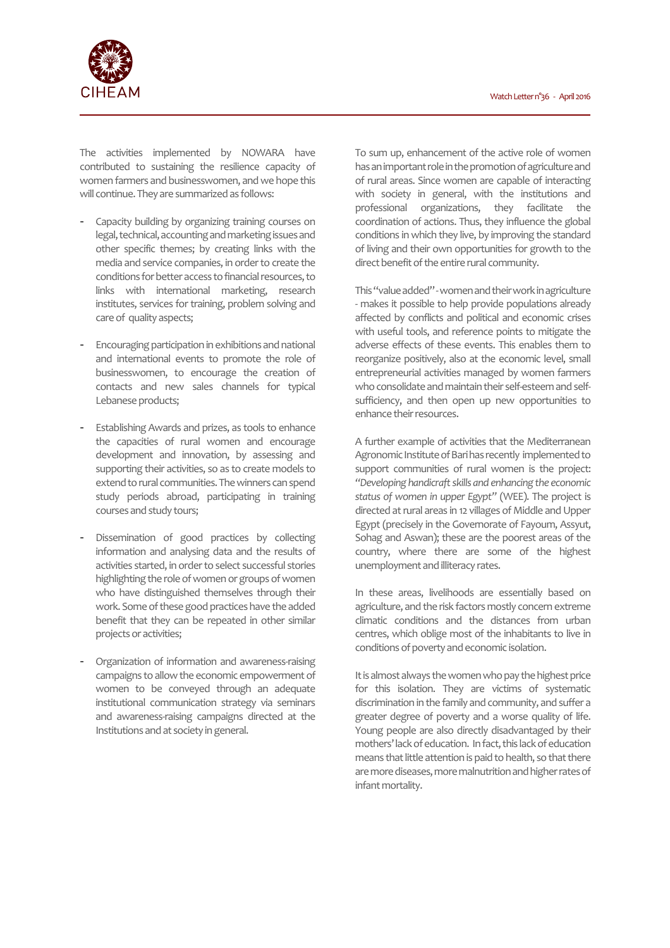

The activities implemented by NOWARA have contributed to sustaining the resilience capacity of women farmers and businesswomen, and we hope this will continue. They are summarized as follows:

- Capacity building by organizing training courses on legal, technical, accounting and marketing issues and other specific themes; by creating links with the media and service companies, in order to create the conditions for better access to financial resources, to links with international marketing, research institutes, services for training, problem solving and care of quality aspects;
- Encouraging participation in exhibitions and national and international events to promote the role of businesswomen, to encourage the creation of contacts and new sales channels for typical Lebanese products;
- Establishing Awards and prizes, as tools to enhance the capacities of rural women and encourage development and innovation, by assessing and supporting their activities, so as to create models to extend to rural communities. The winners can spend study periods abroad, participating in training courses and study tours;
- Dissemination of good practices by collecting information and analysing data and the results of activities started, in order to select successful stories highlighting the role of women or groups of women who have distinguished themselves through their work. Some of these good practices have the added benefit that they can be repeated in other similar projects or activities;
- Organization of information and awareness-raising campaigns to allow the economic empowerment of women to be conveyed through an adequate institutional communication strategy via seminars and awareness-raising campaigns directed at the Institutions and at society in general.

To sum up, enhancement of the active role of women has an important role in the promotion of agriculture and of rural areas. Since women are capable of interacting with society in general, with the institutions and professional organizations, they facilitate the coordination of actions. Thus, they influence the global conditions in which they live, by improving the standard of living and their own opportunities for growth to the direct benefit of the entire rural community.

This "value added" -women and their work in agriculture - makes it possible to help provide populations already affected by conflicts and political and economic crises with useful tools, and reference points to mitigate the adverse effects of these events. This enables them to reorganize positively, also at the economic level, small entrepreneurial activities managed by women farmers who consolidate and maintain their self-esteem and selfsufficiency, and then open up new opportunities to enhance their resources.

A further example of activities that the Mediterranean Agronomic Institute of Bari has recently implemented to support communities of rural women is the project: *"Developing handicraft skills and enhancing the economic status of women in upper Egypt"* (WEE). The project is directed at rural areas in 12 villages of Middle and Upper Egypt (precisely in the Governorate of Fayoum, Assyut, Sohag and Aswan); these are the poorest areas of the country, where there are some of the highest unemployment and illiteracy rates.

In these areas, livelihoods are essentially based on agriculture, and the risk factors mostly concern extreme climatic conditions and the distances from urban centres, which oblige most of the inhabitants to live in conditions of poverty and economic isolation.

It is almost always the women who pay the highest price for this isolation. They are victims of systematic discrimination in the family and community, and suffer a greater degree of poverty and a worse quality of life. Young people are also directly disadvantaged by their mothers' lack of education. In fact, this lack of education means that little attention is paid to health, so that there are more diseases, more malnutrition and higher rates of infant mortality.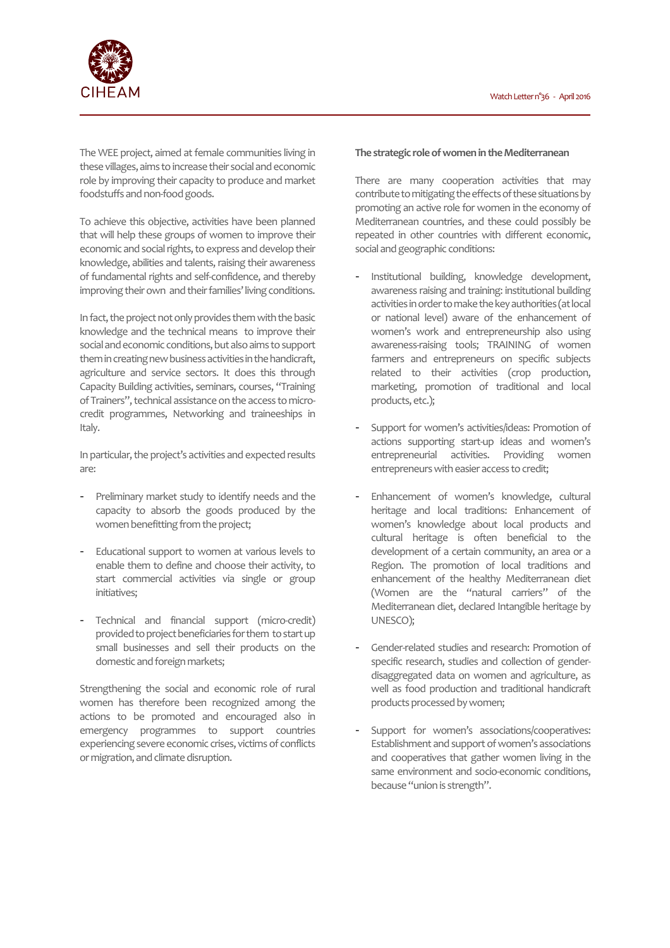

The WEE project, aimed at female communities living in these villages, aims to increase their social and economic role by improving their capacity to produce and market foodstuffs and non-food goods.

To achieve this objective, activities have been planned that will help these groups of women to improve their economic and social rights, to express and develop their knowledge, abilities and talents, raising their awareness of fundamental rights and self-confidence, and thereby improving their own and their families' living conditions.

In fact, the project not only provides them with the basic knowledge and the technical means to improve their social and economic conditions, but also aims to support them in creating new business activities in the handicraft, agriculture and service sectors. It does this through Capacity Building activities, seminars, courses, "Training of Trainers", technical assistance on the access to microcredit programmes, Networking and traineeships in Italy.

In particular, the project's activities and expected results are:

- Preliminary market study to identify needs and the capacity to absorb the goods produced by the women benefitting from the project;
- Educational support to women at various levels to enable them to define and choose their activity, to start commercial activities via single or group initiatives;
- Technical and financial support (micro-credit) provided to project beneficiaries for them to start up small businesses and sell their products on the domestic and foreign markets;

Strengthening the social and economic role of rural women has therefore been recognized among the actions to be promoted and encouraged also in emergency programmes to support countries experiencing severe economic crises, victims of conflicts or migration, and climate disruption.

## **The strategic role of women in the Mediterranean**

There are many cooperation activities that may contribute to mitigating the effects of these situations by promoting an active role for women in the economy of Mediterranean countries, and these could possibly be repeated in other countries with different economic, social and geographic conditions:

- Institutional building, knowledge development, awareness raising and training: institutional building activities in order to make the key authorities (at local or national level) aware of the enhancement of women's work and entrepreneurship also using awareness-raising tools; TRAINING of women farmers and entrepreneurs on specific subjects related to their activities (crop production, marketing, promotion of traditional and local products, etc.);
- Support for women's activities/ideas: Promotion of actions supporting start-up ideas and women's entrepreneurial activities. Providing women entrepreneurs with easier access to credit;
- Enhancement of women's knowledge, cultural heritage and local traditions: Enhancement of women's knowledge about local products and cultural heritage is often beneficial to the development of a certain community, an area or a Region. The promotion of local traditions and enhancement of the healthy Mediterranean diet (Women are the "natural carriers" of the Mediterranean diet, declared Intangible heritage by UNESCO);
- Gender-related studies and research: Promotion of specific research, studies and collection of genderdisaggregated data on women and agriculture, as well as food production and traditional handicraft products processed by women;
- Support for women's associations/cooperatives: Establishment and support of women's associations and cooperatives that gather women living in the same environment and socio-economic conditions, because "union is strength".